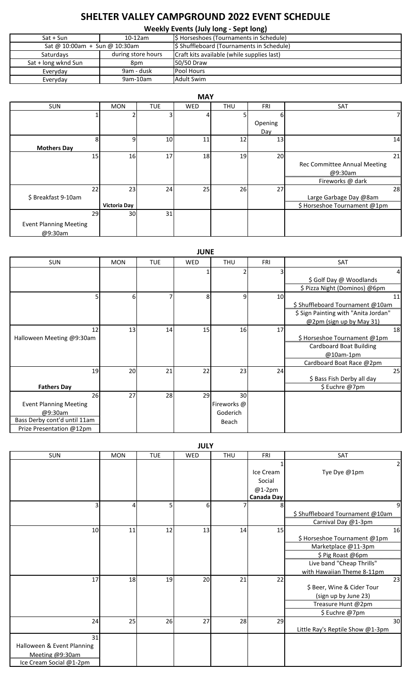## **SHELTER VALLEY CAMPGROUND 2022 EVENT SCHEDULE**

**Weekly Events (July long - Sept long)**

| 1.550                         |                    |                                            |  |  |  |  |  |
|-------------------------------|--------------------|--------------------------------------------|--|--|--|--|--|
| $Sat + Sun$                   | $10-12am$          | \$ Horseshoes (Tournaments in Schedule)    |  |  |  |  |  |
| Sat @ 10:00am + Sun @ 10:30am |                    | \$ Shuffleboard (Tournaments in Schedule)  |  |  |  |  |  |
| Saturdays                     | during store hours | Craft kits available (while supplies last) |  |  |  |  |  |
| Sat + long wknd Sun<br>8pm    |                    | 50/50 Draw                                 |  |  |  |  |  |
| Everyday                      | 9am - dusk         | <b>Pool Hours</b>                          |  |  |  |  |  |
| Everyday                      | 9am-10am           | <b>Adult Swim</b>                          |  |  |  |  |  |

| <b>MAY</b>                    |                     |            |     |            |            |                              |  |  |
|-------------------------------|---------------------|------------|-----|------------|------------|------------------------------|--|--|
| SUN                           | <b>MON</b>          | <b>TUE</b> | WED | <b>THU</b> | <b>FRI</b> | SAT                          |  |  |
|                               |                     |            |     |            |            |                              |  |  |
|                               |                     |            |     |            | Opening    |                              |  |  |
|                               |                     |            |     |            | Day        |                              |  |  |
| 8                             | q                   | 10         | 11  | 12         | 13         | 14                           |  |  |
| <b>Mothers Day</b>            |                     |            |     |            |            |                              |  |  |
| 15                            | 16                  | 17         | 18  | 19         | 20         | 21                           |  |  |
|                               |                     |            |     |            |            | Rec Committee Annual Meeting |  |  |
|                               |                     |            |     |            |            | @9:30am                      |  |  |
|                               |                     |            |     |            |            | Fireworks @ dark             |  |  |
| 22                            | 23                  | 24         | 25  | 26         | 27         | 28                           |  |  |
| \$Breakfast 9-10am            |                     |            |     |            |            | Large Garbage Day @8am       |  |  |
|                               | <b>Victoria Day</b> |            |     |            |            | \$ Horseshoe Tournament @1pm |  |  |
| 29                            | 30                  | 31         |     |            |            |                              |  |  |
| <b>Event Planning Meeting</b> |                     |            |     |            |            |                              |  |  |
| @9:30am                       |                     |            |     |            |            |                              |  |  |

| <b>JUNE</b>                   |            |            |            |             |            |                                                                          |  |  |
|-------------------------------|------------|------------|------------|-------------|------------|--------------------------------------------------------------------------|--|--|
| <b>SUN</b>                    | <b>MON</b> | <b>TUE</b> | <b>WED</b> | <b>THU</b>  | <b>FRI</b> | SAT                                                                      |  |  |
|                               |            |            |            |             |            | 4                                                                        |  |  |
|                               |            |            |            |             |            | \$ Golf Day @ Woodlands<br>\$ Pizza Night (Dominos) @6pm                 |  |  |
|                               | 6          |            | 8          | 9           | 10         | 11                                                                       |  |  |
|                               |            |            |            |             |            | \$ Shuffleboard Tournament @10am<br>\$ Sign Painting with "Anita Jordan" |  |  |
|                               |            |            |            |             |            | @2pm (sign up by May 31)                                                 |  |  |
| 12                            | 13         | 14         | 15         | 16          | 17         | 18                                                                       |  |  |
| Halloween Meeting @9:30am     |            |            |            |             |            | \$ Horseshoe Tournament @1pm                                             |  |  |
|                               |            |            |            |             |            | Cardboard Boat Building                                                  |  |  |
|                               |            |            |            |             |            | @10am-1pm                                                                |  |  |
|                               |            |            |            |             |            | Cardboard Boat Race @2pm                                                 |  |  |
| 19                            | 20         | 21         | 22         | 23          | 24         | 25                                                                       |  |  |
|                               |            |            |            |             |            | \$ Bass Fish Derby all day                                               |  |  |
| <b>Fathers Day</b>            |            |            |            |             |            | \$ Euchre @7pm                                                           |  |  |
| 26                            | 27         | 28         | 29         | 30          |            |                                                                          |  |  |
| <b>Event Planning Meeting</b> |            |            |            | Fireworks @ |            |                                                                          |  |  |
| @9:30am                       |            |            |            | Goderich    |            |                                                                          |  |  |
| Bass Derby cont'd until 11am  |            |            |            | Beach       |            |                                                                          |  |  |
| Prize Presentation @12pm      |            |            |            |             |            |                                                                          |  |  |

SUN MON TUE WED THU FRI SAT  $1 \vert$  2 Ice Cream Social @1-2pm Tye Dye @1pm **Canada Day** 3 4 5 6 7 8 9 \$ Shuffleboard Tournament @10am Carnival Day @1-3pm 10 11 12 13 14 15 \$ Horseshoe Tournament @1pm Marketplace @11-3pm \$ Pig Roast @6pm Live band "Cheap Thrills" with Hawaiian Theme 8-11pm 17 18 19 20 21 22 23 \$ Beer, Wine & Cider Tour (sign up by June 23) Treasure Hunt @2pm \$ Euchre @7pm 24 25 26 27 28 29 29 30 Little Ray's Reptile Show @1-3pm 31 Halloween & Event Planning Meeting @9:30am Ice Cream Social @1-2pm **JULY**